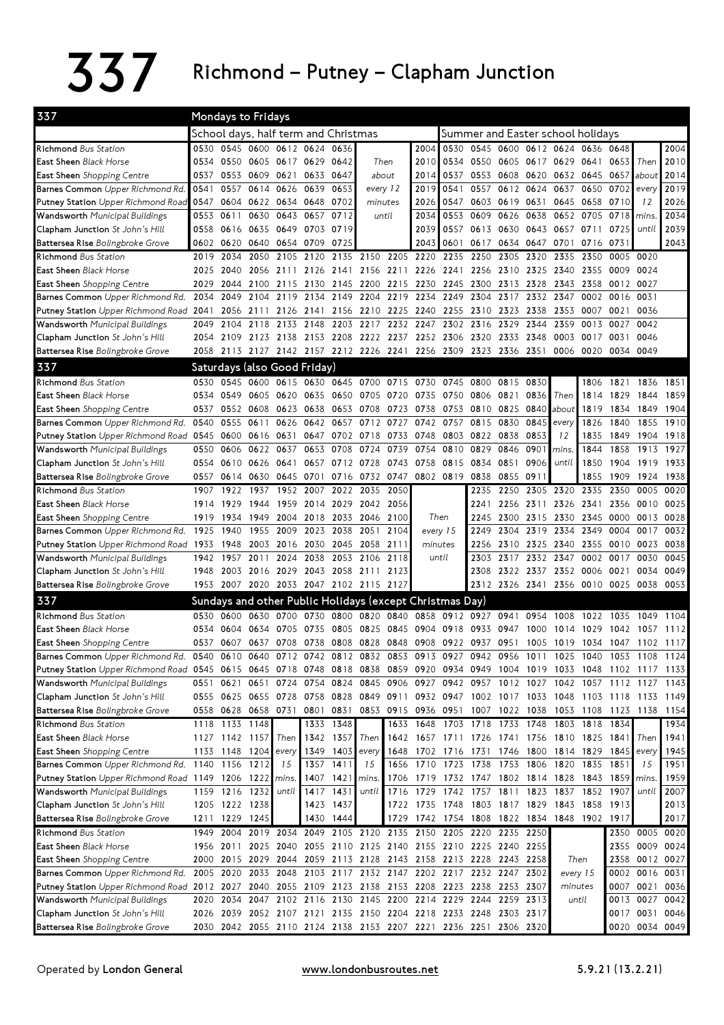## $337$  Richmond – Putney – Clapham Junction

| 337                                                                                                                          | Mondays to Fridays                   |                |                      |                               |           |                     |                                                                                      |           |                                                    |                                   |                          |           |      |                                     |                      |            |                                                                                                                                                                    |           |  |
|------------------------------------------------------------------------------------------------------------------------------|--------------------------------------|----------------|----------------------|-------------------------------|-----------|---------------------|--------------------------------------------------------------------------------------|-----------|----------------------------------------------------|-----------------------------------|--------------------------|-----------|------|-------------------------------------|----------------------|------------|--------------------------------------------------------------------------------------------------------------------------------------------------------------------|-----------|--|
|                                                                                                                              | School days, half term and Christmas |                |                      |                               |           |                     |                                                                                      |           |                                                    | Summer and Easter school holidays |                          |           |      |                                     |                      |            |                                                                                                                                                                    |           |  |
| <b>Richmond</b> Bus Station                                                                                                  |                                      |                |                      | 0530 0545 0600 0612 0624 0636 |           |                     |                                                                                      |           | 2004                                               |                                   |                          |           |      | 0530 0545 0600 0612 0624 0636 0648  |                      |            |                                                                                                                                                                    | 2004      |  |
| East Sheen Black Horse                                                                                                       | 0534                                 |                |                      | 0550 0605 0617 0629 0642      |           |                     |                                                                                      | Then      | 2010                                               | 0534                              |                          |           |      | 0550 0605 0617 0629 0641 0653 Then  |                      |            |                                                                                                                                                                    | 2010      |  |
| <b>East Sheen</b> Shopping Centre                                                                                            | 0537                                 |                |                      | 0553 0609 0621 0633 0647      |           |                     | about                                                                                |           | 2014                                               | 0537                              |                          |           |      | 0553 0608 0620 0632 0645 0657 about |                      |            |                                                                                                                                                                    | 2014      |  |
| Barnes Common Upper Richmond Rd.                                                                                             | 0541                                 | 0557           |                      | 0614 0626                     | 0639      | 0653                | every 12                                                                             |           | 2019                                               | 0541                              | 0557                     |           |      | 0612 0624 0637 0650 0702 every      |                      |            |                                                                                                                                                                    | 2019      |  |
| Putney Station Upper Richmond Road                                                                                           | 0547                                 |                |                      | 0604 0622 0634 0648 0702      |           |                     | minutes                                                                              |           | 2026                                               |                                   |                          |           |      | 0547 0603 0619 0631 0645 0658 0710  |                      |            | 12                                                                                                                                                                 | 2026      |  |
| <b>Wandsworth</b> Municipal Buildings                                                                                        | 0553                                 | 0611           | 0630                 |                               | 0643 0657 | 0712                | until                                                                                |           | 2034                                               |                                   | 0553 0609 0626           |           | 0638 |                                     | 0652 0705 0718 mins. |            |                                                                                                                                                                    | 2034      |  |
| <b>Clapham Junction</b> St John's Hill                                                                                       | 0558                                 | 0616 0635      |                      | 0649 0703 0719                |           |                     |                                                                                      |           | 2039                                               |                                   |                          |           |      | 0557 0613 0630 0643 0657 0711 0725  |                      |            | until                                                                                                                                                              | 2039      |  |
| <b>Battersea Rise</b> Bolingbroke Grove                                                                                      |                                      | 0602 0620 0640 |                      | 0654 0709 0725                |           |                     |                                                                                      |           | 2043                                               | 0601                              |                          |           |      | 0617 0634 0647 0701 0716 0731       |                      |            |                                                                                                                                                                    | 2043      |  |
| Richmond Bus Station                                                                                                         | 2019                                 | 2034           | 2050                 | 2105                          | 2120      | 2135                | 2150                                                                                 |           | 2205 2220                                          | 2235                              | 2250                     | 2305      | 2320 | 2335                                | 2350                 | 0005       | 0020                                                                                                                                                               |           |  |
| <b>East Sheen</b> Black Horse                                                                                                | 2025                                 | 2040           | 2056                 | 2111                          |           | 2126 2141           | 2156                                                                                 | 2211 2226 |                                                    | 2241                              | 2256                     | 2310      | 2325 | 2340                                | 2355                 | 0009       | 0024                                                                                                                                                               |           |  |
| <b>East Sheen</b> Shopping Centre                                                                                            | 2029                                 | 2044           | 2100                 | 2115                          | 2130      | 2145                | 2200 2215 2230                                                                       |           |                                                    |                                   | 2245 2300 2313           |           | 2328 | 2343                                | 2358                 | 0012 0027  |                                                                                                                                                                    |           |  |
| Barnes Common Upper Richmond Rd.                                                                                             | 2034                                 | 2049           | 2104                 | 2119                          | 2134      | 2149                | 2204                                                                                 | 2219 2234 |                                                    | 2249                              | 2304                     | 2317      |      | 2332 2347                           | 0002                 | 0016       | 0031                                                                                                                                                               |           |  |
| <b>Putney Station</b> Upper Richmond Road 2041                                                                               |                                      |                | 2056 2111            |                               | 2126 2141 | 2156                | 2210                                                                                 | 2225 2240 |                                                    |                                   | 2255 2310 2323           |           | 2338 | 2353                                | 0007                 | 0021       | 0036                                                                                                                                                               |           |  |
| Wandsworth Municipal Buildings                                                                                               | 2049                                 | 2104           | 2118                 | 2133                          | 2148      | 2203                | 2217                                                                                 |           | 2232 2247                                          |                                   | 2302 2316 2329           |           | 2344 | 2359                                | 0013                 | 0027       | 0042                                                                                                                                                               |           |  |
| <b>Clapham Junction</b> St John's Hill                                                                                       | 2054                                 |                |                      |                               |           |                     | 2109 2123 2138 2153 2208 2222 2237 2252 2306 2320 2333                               |           |                                                    |                                   |                          |           | 2348 | 0003                                | 0017                 | 0031       | 0046                                                                                                                                                               |           |  |
| Battersea Rise Bolingbroke Grove                                                                                             |                                      |                |                      |                               |           |                     | 2058 2113 2127 2142 2157 2212 2226 2241 2256 2309 2323 2336 2351 0006 0020 0034 0049 |           |                                                    |                                   |                          |           |      |                                     |                      |            |                                                                                                                                                                    |           |  |
| 337                                                                                                                          |                                      |                |                      | Saturdays (also Good Friday)  |           |                     |                                                                                      |           |                                                    |                                   |                          |           |      |                                     |                      |            |                                                                                                                                                                    |           |  |
| Richmond Bus Station                                                                                                         |                                      |                |                      |                               |           |                     | 0530 0545 0600 0615 0630 0645 0700 0715 0730 0745 0800 0815 0830                     |           |                                                    |                                   |                          |           |      |                                     |                      |            | 1806 1821 1836 1851                                                                                                                                                |           |  |
| East Sheen Black Horse                                                                                                       | 0534                                 |                | 0549 0605            |                               |           |                     | 0620 0635 0650 0705 0720 0735                                                        |           |                                                    | 0750                              | 0806 0821                |           | 0836 | Then                                | 1814                 | 1829       | 1844                                                                                                                                                               | 1859      |  |
| <b>East Sheen</b> Shopping Centre                                                                                            | 0537                                 |                | 0552 0608            |                               |           |                     | 0623 0638 0653 0708 0723 0738                                                        |           |                                                    |                                   | 0753 0810 0825           |           | 0840 | about                               | 1819                 | 1834       | 1849                                                                                                                                                               | 1904      |  |
| Barnes Common Upper Richmond Rd.                                                                                             | 0540                                 | 0555 0611      |                      | 0626                          | 0642 0657 |                     | 0712 0727                                                                            |           | 0742                                               | 0757                              |                          | 0815 0830 | 0845 | every                               | 1826                 | 1840       | 1855                                                                                                                                                               | 1910      |  |
| Putney Station Upper Richmond Road 0545 0600 0616                                                                            |                                      |                |                      | 0631                          |           |                     | 0647 0702 0718 0733 0748                                                             |           |                                                    |                                   | 0803 0822 0838           |           | 0853 | 12                                  | 1835                 | 1849       | 1904                                                                                                                                                               | 1918      |  |
| Wandsworth Municipal Buildings                                                                                               | 0550                                 | 0606           | 0622                 | 0637                          | 0653      | 0708                | 0724                                                                                 | 0739      | 0754                                               | 0810                              | 0829                     | 0846      | 0901 | mins.                               | 1844                 | 1858       | 1913                                                                                                                                                               | 1927      |  |
| Clapham Junction St John's Hill                                                                                              |                                      | 0554 0610 0626 |                      |                               |           |                     | 0641 0657 0712 0728 0743 0758                                                        |           |                                                    |                                   | 0815 0834 0851           |           | 0906 | until                               | 1850                 | 1904       |                                                                                                                                                                    | 1919 1933 |  |
| <b>Battersea Rise</b> Bolingbroke Grove                                                                                      | 0557                                 |                | 0614 0630            |                               |           |                     | 0645 0701 0716 0732 0747 0802 0819                                                   |           |                                                    |                                   |                          | 0838 0855 | 0911 |                                     | 1855                 | 1909       | 1924 1938                                                                                                                                                          |           |  |
| Richmond Bus Station                                                                                                         | 1907                                 | 1922           | 1937                 |                               |           | 1952 2007 2022 2035 |                                                                                      | 2050      |                                                    |                                   | 2235                     | 2250      | 2305 | 2320                                | 2335                 | 2350       | 0005                                                                                                                                                               | 0020      |  |
| East Sheen Black Horse                                                                                                       | 1914                                 | 1929           | 1944                 | 1959                          |           | 2014 2029           | 2042                                                                                 | 2056      |                                                    |                                   | 2241                     | 2256      | 2311 |                                     | 2326 2341 2356       |            | 0010                                                                                                                                                               | 0025      |  |
| <b>East Sheen</b> Shopping Centre                                                                                            |                                      | 1919 1934 1949 |                      |                               |           |                     | 2004 2018 2033 2046 2100                                                             |           |                                                    | Then                              | 2245                     |           |      | 2300 2315 2330 2345 0000            |                      |            | 0013                                                                                                                                                               | 0028      |  |
| Barnes Common Upper Richmond Rd.                                                                                             | 1925                                 | 1940           | 1955                 | 2009                          |           | 2023 2038           | 2051                                                                                 | 2104      | every 15                                           |                                   | 2249                     | 2304      | 2319 |                                     | 2334 2349 0004       |            | 0017                                                                                                                                                               | 0032      |  |
| Putney Station Upper Richmond Road 1933 1948                                                                                 |                                      |                | 2003                 | 2016                          | 2030 2045 |                     | 2058                                                                                 | 2111      | minutes                                            |                                   | 2256                     | 2310      | 2325 | 2340                                | 2355 0010            |            | 0023                                                                                                                                                               | 0038      |  |
| Wandsworth Municipal Buildings                                                                                               |                                      | 1942 1957      | 2011                 |                               |           | 2024 2038 2053      | 2106                                                                                 | 2118      | until                                              |                                   |                          | 2303 2317 |      | 2332 2347                           |                      | 0002 0017  | 0030                                                                                                                                                               | 0045      |  |
| <b>Clapham Junction</b> St John's Hill                                                                                       | 1948                                 |                |                      | 2003 2016 2029 2043 2058 2111 |           |                     |                                                                                      | 2123      |                                                    |                                   | 2308                     |           |      | 2322 2337 2352 0006 0021            |                      |            | 0034                                                                                                                                                               | 0049      |  |
| Battersea Rise Bolingbroke Grove                                                                                             |                                      |                |                      |                               |           |                     | 1953 2007 2020 2033 2047 2102 2115 2127                                              |           |                                                    |                                   |                          |           |      |                                     |                      |            | 2312 2326 2341 2356 0010 0025 0038 0053                                                                                                                            |           |  |
| 337                                                                                                                          |                                      |                |                      |                               |           |                     | Sundays and other Public Holidays (except Christmas Day)                             |           |                                                    |                                   |                          |           |      |                                     |                      |            |                                                                                                                                                                    |           |  |
| Richmond Bus Station                                                                                                         | 0530                                 |                | 0600 0630 0700       |                               |           | 0730 0800 0820      |                                                                                      |           | 0840 0858                                          |                                   | 0912 0927 0941           |           | 0954 | 1008                                | 1022                 | 1035       | 1049                                                                                                                                                               | 1104      |  |
| <b>East Sheen</b> Black Horse                                                                                                | 0534                                 | 0604           | 0634                 | 0705                          | 0735      | 0805                | 0825                                                                                 |           | 0845 0904                                          | 0918 0933                         |                          | 0947      | 1000 | 1014                                | 1029                 | 1042       | 1057                                                                                                                                                               | 1112      |  |
| East Sheen Shopping Centre                                                                                                   | 0537                                 | 0607           |                      |                               |           |                     | 0637 0708 0738 0808 0828 0848 0908 0922 0937 0951                                    |           |                                                    |                                   |                          |           |      |                                     |                      |            | 1005 1019 1034 1047 1102 1117                                                                                                                                      |           |  |
| Barnes Common Upper Richmond Rd. 0540 0610 0640 0712 0742 0812 0832 0853 0913 0927 0942 0956                                 |                                      |                |                      |                               |           |                     |                                                                                      |           |                                                    |                                   |                          |           | 1011 | 1025                                | 1040 1053            |            | 1108                                                                                                                                                               | 1124      |  |
| Putney Station Upper Richmond Road 0545 0615 0645 0718 0748 0818 0838 0859 0920 0934 0949 1004 1019 1033 1048 1102 1117 1133 |                                      |                |                      |                               |           |                     |                                                                                      |           |                                                    |                                   |                          |           |      |                                     |                      |            |                                                                                                                                                                    |           |  |
| Wandsworth Municipal Buildings                                                                                               | 0551                                 | 0621           |                      | 0651 0724                     |           |                     | 0754 0824 0845                                                                       |           | 0906 0927                                          |                                   | 0942 0957 1012 1027 1042 |           |      |                                     | 1057 1112 1127       |            |                                                                                                                                                                    | 1143      |  |
| <b>Clapham Junction</b> St John's Hill                                                                                       |                                      |                | 0558 0628 0658 0731  |                               |           |                     |                                                                                      |           |                                                    |                                   |                          |           |      |                                     |                      |            | 0555 0625 0655 0728 0758 0828 0849 0911 0932 0947 1002 1017 1033 1048 1103 1118 1133 1149<br>0801 0831 0853 0915 0936 0951 1007 1022 1038 1053 1108 1123 1138 1154 |           |  |
| <b>Battersea Rise</b> Bolingbroke Grove<br>Richmond Bus Station                                                              |                                      | 1118 1133 1148 |                      |                               |           | 1333 1348           |                                                                                      |           | 1633 1648                                          |                                   |                          |           |      | 1703 1718 1733 1748 1803 1818 1834  |                      |            |                                                                                                                                                                    | 1934      |  |
| East Sheen Black Horse                                                                                                       |                                      |                | 1127 1142 1157 Then  |                               |           | 1342 1357           | Then                                                                                 |           | 1642 1657 1711 1726 1741 1756 1810 1825 1841       |                                   |                          |           |      |                                     |                      |            | Then                                                                                                                                                               | 1941      |  |
| <b>East Sheen</b> Shopping Centre                                                                                            |                                      |                | 1133 1148 1204 every |                               |           | 1349 1403           | every                                                                                |           | 1648 1702 1716 1731 1746 1800 1814 1829 1845 every |                                   |                          |           |      |                                     |                      |            |                                                                                                                                                                    | 1945      |  |
| Barnes Common Upper Richmond Rd. 1140 1156 1212                                                                              |                                      |                |                      | 15                            |           | 1357 1411           | 15                                                                                   |           | 1656 1710 1723 1738 1753 1806 1820 1835 1851       |                                   |                          |           |      |                                     |                      |            | 15                                                                                                                                                                 | 1951      |  |
| Putney Station Upper Richmond Road 1149 1206 1222 mins.                                                                      |                                      |                |                      |                               |           | 1407 1421 mins.     |                                                                                      |           | 1706 1719 1732 1747 1802 1814 1828                 |                                   |                          |           |      |                                     | 1843                 | 1859 mins. |                                                                                                                                                                    | 1959      |  |
| Wandsworth Municipal Buildings                                                                                               |                                      |                | 1159 1216 1232       | until                         |           | 1417 1431           | until                                                                                |           | 1716 1729 1742 1757 1811 1823                      |                                   |                          |           |      | 1837                                | 1852                 | 1907       | until                                                                                                                                                              | 2007      |  |
| Clapham Junction St John's Hill                                                                                              |                                      | 1205 1222 1238 |                      |                               |           | 1423 1437           |                                                                                      |           | 1722 1735 1748 1803 1817 1829 1843 1858 1913       |                                   |                          |           |      |                                     |                      |            |                                                                                                                                                                    | 2013      |  |
| Battersea Rise Bolingbroke Grove                                                                                             |                                      | 1211 1229 1245 |                      |                               |           | 1430 1444           |                                                                                      |           | 1729 1742 1754 1808 1822 1834 1848 1902 1917       |                                   |                          |           |      |                                     |                      |            |                                                                                                                                                                    | 2017      |  |
| Richmond Bus Station                                                                                                         |                                      |                | 1949 2004 2019 2034  |                               |           |                     | 2049 2105 2120 2135 2150 2205 2220 2235 2250                                         |           |                                                    |                                   |                          |           |      |                                     |                      |            | 2350 0005 0020                                                                                                                                                     |           |  |
| East Sheen Black Horse                                                                                                       |                                      |                |                      |                               |           |                     | 1956 2011 2025 2040 2055 2110 2125 2140 2155 2210 2225 2240 2255                     |           |                                                    |                                   |                          |           |      |                                     |                      | 2355       |                                                                                                                                                                    | 0009 0024 |  |
| <b>East Sheen</b> Shopping Centre                                                                                            |                                      |                |                      |                               |           |                     | 2000 2015 2029 2044 2059 2113 2128 2143 2158 2213 2228 2243 2258                     |           |                                                    |                                   |                          |           |      |                                     | Then                 | 2358       |                                                                                                                                                                    | 0012 0027 |  |
| Barnes Common Upper Richmond Rd.                                                                                             |                                      |                | 2005 2020 2033 2048  |                               |           |                     | 2103 2117 2132 2147 2202 2217 2232 2247                                              |           |                                                    |                                   |                          |           | 2302 |                                     | every 15             | 0002       |                                                                                                                                                                    | 0016 0031 |  |
| Putney Station Upper Richmond Road 2012 2027 2040 2055 2109 2123 2138 2153 2208 2223 2238 2253 2307                          |                                      |                |                      |                               |           |                     |                                                                                      |           |                                                    |                                   |                          |           |      |                                     | minutes              |            | 0007 0021 0036                                                                                                                                                     |           |  |
| Wandsworth Municipal Buildings                                                                                               |                                      |                |                      |                               |           |                     | 2020 2034 2047 2102 2116 2130 2145 2200 2214 2229 2244 2259 2313                     |           |                                                    |                                   |                          |           |      |                                     | until                |            | 0013 0027                                                                                                                                                          | 0042      |  |
| <b>Clapham Junction</b> St John's Hill                                                                                       |                                      |                |                      |                               |           |                     | 2026 2039 2052 2107 2121 2135 2150 2204 2218 2233 2248 2303 2317                     |           |                                                    |                                   |                          |           |      |                                     |                      |            | 0017 0031 0046                                                                                                                                                     |           |  |
| Battersea Rise Bolingbroke Grove                                                                                             |                                      |                |                      |                               |           |                     | 2030 2042 2055 2110 2124 2138 2153 2207 2221 2236 2251 2306 2320                     |           |                                                    |                                   |                          |           |      |                                     |                      |            | 0020 0034 0049                                                                                                                                                     |           |  |